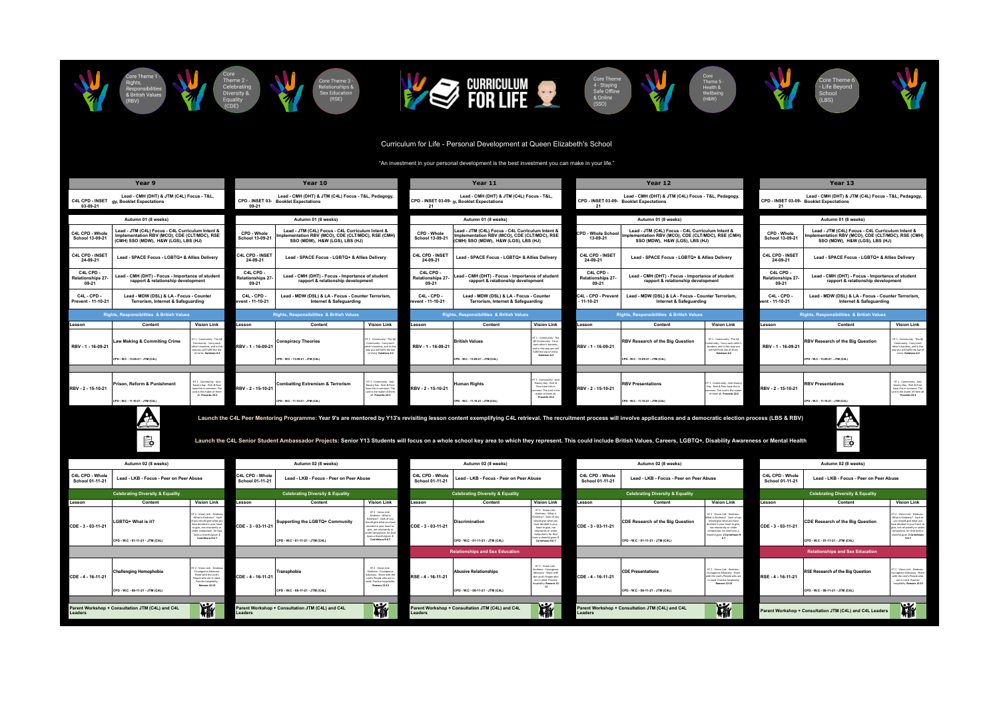

## Curriculum for Life - Personal Development at Queen Elizabeth's School

"An investment in your personal development is the best investment you can make in your life."

|                                         | Year 9                                                                                                                                   |                                                                                                                                                | Year 10                                                                                              |                                                                                                                                                                                                                               |                                                                                                                                                | Year 11                                                                                        |                                                                                                                                          |                                                                                                                                               |                                                                                                      | Year 12                                                                                                                                  |                                                                                                                                             |                                                                                                      | Year 13                                                                                                                                 |                                                                                                                                            |  |
|-----------------------------------------|------------------------------------------------------------------------------------------------------------------------------------------|------------------------------------------------------------------------------------------------------------------------------------------------|------------------------------------------------------------------------------------------------------|-------------------------------------------------------------------------------------------------------------------------------------------------------------------------------------------------------------------------------|------------------------------------------------------------------------------------------------------------------------------------------------|------------------------------------------------------------------------------------------------|------------------------------------------------------------------------------------------------------------------------------------------|-----------------------------------------------------------------------------------------------------------------------------------------------|------------------------------------------------------------------------------------------------------|------------------------------------------------------------------------------------------------------------------------------------------|---------------------------------------------------------------------------------------------------------------------------------------------|------------------------------------------------------------------------------------------------------|-----------------------------------------------------------------------------------------------------------------------------------------|--------------------------------------------------------------------------------------------------------------------------------------------|--|
| 03-09-21                                | Lead - CMH (DHT) & JTM (C4L) Focus - T&L<br>C4L CPD - INSET gy, Booklet Expectations                                                     |                                                                                                                                                | Lead - CMH (DHT) & JTM (C4L) Focus - T&L, Pedagogy,<br>CPD - INSET 03- Booklet Expectations<br>09-21 |                                                                                                                                                                                                                               |                                                                                                                                                | Lead - CMH (DHT) & JTM (C4L) Focus - T&L.<br>CPD - INSET 03-09-  y, Booklet Expectations<br>21 |                                                                                                                                          |                                                                                                                                               | Lead - CMH (DHT) & JTM (C4L) Focus - T&L, Pedagogy,<br>CPD - INSET 03-09- Booklet Expectations<br>21 |                                                                                                                                          |                                                                                                                                             | Lead - CMH (DHT) & JTM (C4L) Focus - T&L, Pedagogy,<br>CPD - INSET 03-09- Booklet Expectations<br>21 |                                                                                                                                         |                                                                                                                                            |  |
|                                         | Autumn 01 (8 weeks)                                                                                                                      |                                                                                                                                                |                                                                                                      | Autumn 01 (8 weeks)                                                                                                                                                                                                           |                                                                                                                                                |                                                                                                | Autumn 01 (8 weeks)                                                                                                                      |                                                                                                                                               |                                                                                                      | Autumn 01 (8 weeks)                                                                                                                      |                                                                                                                                             |                                                                                                      | Autumn 01 (8 weeks)                                                                                                                     |                                                                                                                                            |  |
| C4L CPD - Whole<br>School 13-09-21      | Lead - JTM (C4L) Focus - C4L Curriculum Intent &<br>Implementation RBV (MCO), CDE (CLT/MDC), RSE<br>(CMH) SSO (MDW), H&W (LGS), LBS (HJ) |                                                                                                                                                | <b>CPD - Whole</b><br>School 13-09-21                                                                | Lead - JTM (C4L) Focus - C4L Curriculum Intent &<br>Implementation RBV (MCO), CDE (CLT/MDC), RSE (CMH)<br>SSO (MDW), H&W (LGS), LBS (HJ)                                                                                      |                                                                                                                                                | CPD - Whole<br>School 13-09-21                                                                 | Lead - JTM (C4L) Focus - C4L Curriculum Intent &<br>Implementation RBV (MCO), CDE (CLT/MDC), RSE<br>(CMH) SSO (MDW), H&W (LGS), LBS (HJ) |                                                                                                                                               | <b>CPD - Whole School</b><br>13-09-21                                                                | Lead - JTM (C4L) Focus - C4L Curriculum Intent &<br>Implementation RBV (MCO), CDE (CLT/MDC), RSE (CMH)<br>SSO (MDW), H&W (LGS), LBS (HJ) |                                                                                                                                             | CPD - Whole<br>School 13-09-21                                                                       | Lead - JTM (C4L) Focus - C4L Curriculum Intent &<br>Implementation RBV (MCO), CDE (CLT/MDC), RSE (CMH<br>SSO (MDW), H&W (LGS), LBS (HJ) |                                                                                                                                            |  |
| C4L CPD - INSET<br>24-09-21             | Lead - SPACE Focus - LGBTQ+ & Allies Delivery                                                                                            |                                                                                                                                                | <b>C4L CPD - INSET</b><br>24-09-21                                                                   | Lead - SPACE Focus - LGBTQ+ & Allies Delivery                                                                                                                                                                                 |                                                                                                                                                | C4L CPD - INSET<br>Lead - SPACE Focus - LGBTQ+ & Allies Delivery<br>24-09-21                   |                                                                                                                                          | C4L CPD - INSET<br>24-09-21                                                                                                                   | Lead - SPACE Focus - LGBTQ+ & Allies Delivery                                                        |                                                                                                                                          | C4L CPD - INSET<br>24-09-21                                                                                                                 | Lead - SPACE Focus - LGBTQ+ & Allies Delivery                                                        |                                                                                                                                         |                                                                                                                                            |  |
| C4L CPD -<br>Relationships 27-<br>09-21 | Lead - CMH (DHT) - Focus - Importance of student<br>rapport & relationship development                                                   |                                                                                                                                                | C4L CPD -<br>Relationships 27-<br>09-21                                                              | Lead - CMH (DHT) - Focus - Importance of student<br>rapport & relationship development                                                                                                                                        |                                                                                                                                                | C4L CPD -<br><b>Relationships 27</b><br>09-21                                                  | Lead - CMH (DHT) - Focus - Importance of student<br>rapport & relationship development                                                   |                                                                                                                                               | C4L CPD -<br><b>Relationships 27-</b><br>09-21                                                       | Lead - CMH (DHT) - Focus - Importance of student<br>rapport & relationship development                                                   |                                                                                                                                             | C4L CPD -<br><b>Relationships 27</b><br>09-21                                                        | Lead - CMH (DHT) - Focus - Importance of student<br>rapport & relationship development                                                  |                                                                                                                                            |  |
| C4L-CPD-<br>Prevent - 11-10-21          | Lead - MDW (DSL) & LA - Focus - Counter<br>Terrorism, Internet & Safeguarding                                                            |                                                                                                                                                | C4L - CPD -<br>revent - 11-10-21                                                                     | Lead - MDW (DSL) & LA - Focus - Counter Terrorism,<br>Internet & Safeguarding                                                                                                                                                 |                                                                                                                                                | C4L - CPD -<br>revent - 11-10-21                                                               | Lead - MDW (DSL) & LA - Focus - Counter<br>Terrorism, Internet & Safeguarding                                                            |                                                                                                                                               | C4L - CPD - Prevent<br>$-11 - 10 - 21$                                                               | Lead - MDW (DSL) & LA - Focus - Counter Terrorism,<br>Internet & Safeguarding                                                            |                                                                                                                                             | C4L-CPD-<br>vent - 11-10-21                                                                          | Lead - MDW (DSL) & LA - Focus - Counter Terrorism.<br>Internet & Safeguarding                                                           |                                                                                                                                            |  |
|                                         | <b>Rights, Responsibilities &amp; British Values</b>                                                                                     |                                                                                                                                                |                                                                                                      | <b>Rights, Responsibilities &amp; British Values</b>                                                                                                                                                                          |                                                                                                                                                |                                                                                                | <b>Rights, Responsibilities &amp; British Values</b>                                                                                     |                                                                                                                                               |                                                                                                      | Rights, Responsibilities & British Values                                                                                                |                                                                                                                                             |                                                                                                      | Rights, Responsibilities & British Values                                                                                               |                                                                                                                                            |  |
| Lesson                                  | Content                                                                                                                                  | <b>Vision Link</b>                                                                                                                             | esson.                                                                                               | Content                                                                                                                                                                                                                       | <b>Vision Link</b>                                                                                                                             | esson.                                                                                         | Content                                                                                                                                  | <b>Vision Link</b>                                                                                                                            | Lesson                                                                                               | Content                                                                                                                                  | <b>Vision Link</b>                                                                                                                          | Lesson                                                                                               | Content                                                                                                                                 | <b>Vision Link</b>                                                                                                                         |  |
| RBV - 1 - 16-09-21                      | Law Making & Commiting Crime                                                                                                             | HT 1 - Community - The QE<br>ommuntiy - Carry each<br>other's burdens, and in this<br>way you will fulfill the law<br>of christ. Galatians 6:2 | RBV - 1 - 16-09-21                                                                                   | <b>Conspiracy Theories</b>                                                                                                                                                                                                    | HT 1 - Community - The QE<br>Communtiy - Carry each<br>ther's burdens, and in this<br>way you will fulfill the law<br>of christ. Galatians 6:2 | RBV - 1 - 16-09-21                                                                             | <b>British Values</b>                                                                                                                    | HT 1 - Community - TI<br>QE Communtiy - Carry<br>each other's burdens<br>and in this way you wi<br>fulfill the law of christ<br>Galatians 6:2 | RBV - 1 - 16-09-21                                                                                   | <b>RBV Research of the Big Question</b>                                                                                                  | HT 1 - Community - The QE<br>mmuntiy - Carry each other<br>burdens, and in this way you<br>will fulfill the law of christ.<br>Galatians 6:2 | RBV - 1 - 16-09-21                                                                                   | <b>RBV Research of the Big Question</b>                                                                                                 | HT 1 - Community - The Q<br>Communtiy - Carry each<br>other's burdens, and in thi<br>way you will fulfill the law<br>christ. Galatians 6:2 |  |
|                                         | CPD - W.C - 13-09-21 - JTM (C4L)                                                                                                         |                                                                                                                                                |                                                                                                      | CPD - W.C - 13-09-21 - JTM (C4L)                                                                                                                                                                                              |                                                                                                                                                |                                                                                                | CPD - W.C - 13-09-21 - JTM (C4L)                                                                                                         |                                                                                                                                               |                                                                                                      | CPD - W.C - 13-09-21 - JTM (C4L)                                                                                                         |                                                                                                                                             |                                                                                                      | CPD - W.C - 13-09-21 - JTM (C4L)                                                                                                        |                                                                                                                                            |  |
|                                         |                                                                                                                                          |                                                                                                                                                |                                                                                                      |                                                                                                                                                                                                                               |                                                                                                                                                |                                                                                                |                                                                                                                                          |                                                                                                                                               |                                                                                                      |                                                                                                                                          |                                                                                                                                             |                                                                                                      |                                                                                                                                         |                                                                                                                                            |  |
| RBV - 2 - 15-10-21                      | Prison, Reform & Punishment                                                                                                              | HT 1 - Community - Anti-<br>Slavery Day - Rich & Poor<br>have this in common: The<br>Lord is the maker of them<br>all. Proverbs 22:2           | RBV - 2 - 15-10-21                                                                                   | <b>Combatting Extremism &amp; Terrorism</b>                                                                                                                                                                                   | HT 1 - Community - Anti-<br>Slavery Day - Rich & Poor<br>have this in common: The<br>Lord is the maker of them<br>all. Proverbs 22:2           | RBV - 2 - 15-10-21                                                                             | <b>Human Rights</b>                                                                                                                      | HT 1 - Community - Ar<br>Slavery Day - Rich &<br>Poor have this in<br>mmon: The Lord is th<br>maker of them all.                              | RBV - 2 - 15-10-21                                                                                   | <b>RBV Presentations</b>                                                                                                                 | HT 1 - Community - Anti-Slaver<br>Day - Rich & Poor have this in<br>common: The Lord is the make<br>of them all. Proverbs 22:2              | RBV - 2 - 15-10-21                                                                                   | <b>RBV Presentations</b>                                                                                                                | HT 1 - Community - Anti-<br>Slavery Day - Rich & Poor<br>have this in common: The<br>Lord is the maker of them a<br>Proverbs 22:2          |  |
|                                         | CPD - W.C - 11-10-21 - JTM (C4L)                                                                                                         |                                                                                                                                                |                                                                                                      | CPD - W.C - 11-10-21 - JTM (C4L)                                                                                                                                                                                              |                                                                                                                                                |                                                                                                | CPD - W.C - 11-10-21 - JTM (C4L)                                                                                                         | Proverbs 22:2                                                                                                                                 |                                                                                                      | CPD - W.C - 11-10-21 - JTM (C4L)                                                                                                         |                                                                                                                                             |                                                                                                      | CPD - W.C - 11-10-21 - JTM (C4L)                                                                                                        |                                                                                                                                            |  |
|                                         |                                                                                                                                          |                                                                                                                                                |                                                                                                      | Launch the C4L Peer Mentoring Programme: Year 9's are mentored by Y13's revisiting lesson content exemplifying C4L retrieval. The recruitment process will involve applications and a democratic election process (LBS & RBV) |                                                                                                                                                |                                                                                                |                                                                                                                                          |                                                                                                                                               |                                                                                                      |                                                                                                                                          |                                                                                                                                             |                                                                                                      |                                                                                                                                         |                                                                                                                                            |  |

Launch the C4L Senior Student Ambassador Projects: Senior Y13 Students will focus on a whole school key area to which they represent. This could include British Values, Careers, LGBTQ+, Disability Awareness or Mental Healt



|                                    | Autumn 02 (8 weeks)                              |                                                                                                                                                                                                                   |                                                                               | Autumn 02 (8 weeks)                              |                                                                                                                                                                                                                  |                                                                               | Autumn 02 (8 weeks)                              |                                                                                                                                                                                          |                                    | Autumn 02 (8 weeks)                              |                                                                                                                                                                                                                             |                                    | Autumn 02 (8 weeks)                                      |                                                                                                                                                                                                                   |
|------------------------------------|--------------------------------------------------|-------------------------------------------------------------------------------------------------------------------------------------------------------------------------------------------------------------------|-------------------------------------------------------------------------------|--------------------------------------------------|------------------------------------------------------------------------------------------------------------------------------------------------------------------------------------------------------------------|-------------------------------------------------------------------------------|--------------------------------------------------|------------------------------------------------------------------------------------------------------------------------------------------------------------------------------------------|------------------------------------|--------------------------------------------------|-----------------------------------------------------------------------------------------------------------------------------------------------------------------------------------------------------------------------------|------------------------------------|----------------------------------------------------------|-------------------------------------------------------------------------------------------------------------------------------------------------------------------------------------------------------------------|
| C4L CPD - Whole<br>School 01-11-21 | Lead - LKB - Focus - Peer on Peer Abuse          |                                                                                                                                                                                                                   | C4L CPD - Whole<br>Lead - LKB - Focus - Peer on Peer Abuse<br>School 01-11-21 |                                                  |                                                                                                                                                                                                                  | C4L CPD - Whole<br>Lead - LKB - Focus - Peer on Peer Abuse<br>School 01-11-21 |                                                  |                                                                                                                                                                                          | C4L CPD - Whole<br>School 01-11-21 | Lead - LKB - Focus - Peer on Peer Abuse          |                                                                                                                                                                                                                             | C4L CPD - Whole<br>School 01-11-21 | Lead - LKB - Focus - Peer on Peer Abuse                  |                                                                                                                                                                                                                   |
|                                    | <b>Celebrating Diversity &amp; Equality</b>      |                                                                                                                                                                                                                   |                                                                               | <b>Celebrating Diversity &amp; Equality</b>      |                                                                                                                                                                                                                  |                                                                               | <b>Celebrating Diversity &amp; Equality</b>      |                                                                                                                                                                                          |                                    | <b>Celebrating Diversity &amp; Equality</b>      |                                                                                                                                                                                                                             |                                    | <b>Celebrating Diversity &amp; Equality</b>              |                                                                                                                                                                                                                   |
| Lesson                             | Content                                          | <b>Vision Link</b>                                                                                                                                                                                                | Lesson                                                                        | Content                                          | <b>Vision Link</b>                                                                                                                                                                                               | Lesson                                                                        | Content                                          | <b>Vision Link</b>                                                                                                                                                                       | Lesson                             | Content                                          | <b>Vision Link</b>                                                                                                                                                                                                          | Lesson                             | Content                                                  | <b>Vision Link</b>                                                                                                                                                                                                |
| CDE - 3 - 03-11-21                 | LGBTQ+ What is it?                               | HT 2 - Vision Link - Kindness<br>- What is Kindness? - Each<br>of you should give what you<br>have decided in your heart<br>to give, not reluctantly or<br>under compulsion, for God<br>loves a cheerful giver. 2 | CDE - 3 - 03-11-21                                                            | Supporting the LGBTQ+ Community                  | HT 2 - Vision Link<br>Kindness - What is<br>Kindness? - Each of you<br>hould give what you have<br>decided in your heart to<br>give, not reluctantly or<br>under compulsion, for Go<br>loves a cheerful giver. 2 | CDE - 3 - 03-11-21                                                            | Discrimination                                   | HT 2 - Vision Link<br>Kindness - What is<br>Kindness? - Each of you<br>should give what you<br>have decided in your<br>heart to give, not<br>reluctantly or under<br>compulsion, for God | CDE - 3 - 03-11-21                 | CDE Research of the Big Question                 | HT 2 - Vision Link - Kindness<br>What is Kindness? - Each of you<br>should give what you have<br>decided in your heart to give<br>not reluctantly or under<br>compulsion, for God loves a<br>cheerful giver. 2 Corinthians! | CDE - 3 - 03-11-21                 | CDE Research of the Big Question                         | HT 2 - Vision Link - Kindnes<br>What is Kindness? - Each o<br>you should give what you<br>have decided in your heart<br>give, not reluctantly or und<br>compulsion, for God loves<br>cheerful giver. 2 Corinthiar |
|                                    | CPD - W.C - 01-11-21 - JTM (C4L)                 | Corinthians 9:6-7                                                                                                                                                                                                 |                                                                               | CPD - W.C - 01-11-21 - JTM (C4L)                 | Corinthians 9:6-7                                                                                                                                                                                                |                                                                               | CPD - W.C - 01-11-21 - JTM (C4L)                 | loves a cheerful giver. 2<br>Corinthians 9:6-7                                                                                                                                           |                                    | CPD - W.C - 01-11-21 - JTM (C4L)                 | 6.7                                                                                                                                                                                                                         |                                    | CPD - W.C - 01-11-21 - JTM (C4L)                         | $9:6 - 7$                                                                                                                                                                                                         |
|                                    |                                                  |                                                                                                                                                                                                                   |                                                                               |                                                  |                                                                                                                                                                                                                  |                                                                               | <b>Relationships and Sex Education</b>           |                                                                                                                                                                                          |                                    |                                                  |                                                                                                                                                                                                                             |                                    | <b>Relationships and Sex Education</b>                   |                                                                                                                                                                                                                   |
| CDE - 4 - 16-11-21                 | <b>Challenging Homophobia</b>                    | HT 2 - Vision Link - Kindness<br>Courageous Advocacy -<br>Share with the Lord's<br>People who are in need.<br>Practice hospitality.<br><b>Romans 12:13</b>                                                        | CDE - 4 - 16-11-21                                                            | <b>Transphobia</b>                               | HT 2 - Vision Link -<br>Kindness - Courageous<br>Advocacy - Share with the<br>Lord's People who are in<br>need. Practice hospitality.<br>Romans 12:13                                                            | RSE - 4 - 16-11-21                                                            | <b>Abusive Relationships</b>                     | HT 2 - Vision Link<br>Kindness - Courageous<br>Advocacy - Share with<br>the Lord's People who<br>are in need. Practice<br>hospitality. Romans 12                                         | CDE - 4 - 16-11-21                 | <b>CDE Presentations</b>                         | HT 2 - Vision Link - Kindness<br>Courageous Advocacy - Share<br>with the Lord's People who ar<br>in need. Practice hospitality<br>Romans 12:13                                                                              | RSE - 4 - 16-11-21                 | <b>RSE Research of the Big Ouestion</b>                  | HT 2 - Vision Link - Kindnes<br>ourageous Advocacy - Sha<br>with the Lord's People wh<br>are in need. Practice<br>hospitality. Romans 12:1                                                                        |
|                                    | CPD - W.C - 08-11-21 - JTM (C4L)                 |                                                                                                                                                                                                                   |                                                                               | CPD - W.C - 08-11-21 - JTM (C4L)                 |                                                                                                                                                                                                                  |                                                                               | CPD - W.C - 08-11-21 - JTM (C4L)                 |                                                                                                                                                                                          |                                    | CPD - W.C - 08-11-21 - JTM (C4L)                 |                                                                                                                                                                                                                             |                                    | CPD - W.C - 08-11-21 - JTM (C4L)                         |                                                                                                                                                                                                                   |
|                                    |                                                  |                                                                                                                                                                                                                   |                                                                               |                                                  |                                                                                                                                                                                                                  |                                                                               |                                                  |                                                                                                                                                                                          |                                    |                                                  |                                                                                                                                                                                                                             |                                    |                                                          |                                                                                                                                                                                                                   |
| Leaders                            | Parent Workshop + Consultation JTM (C4L) and C4L | 篇                                                                                                                                                                                                                 | Leaders                                                                       | Parent Workshop + Consultation JTM (C4L) and C4L | 篇                                                                                                                                                                                                                | <b>Leaders</b>                                                                | Parent Workshop + Consultation JTM (C4L) and C4L | 篇                                                                                                                                                                                        | <b>Leaders</b>                     | Parent Workshop + Consultation JTM (C4L) and C4L | 濑                                                                                                                                                                                                                           |                                    | Parent Workshop + Consultation JTM (C4L) and C4L Leaders | 濑                                                                                                                                                                                                                 |

録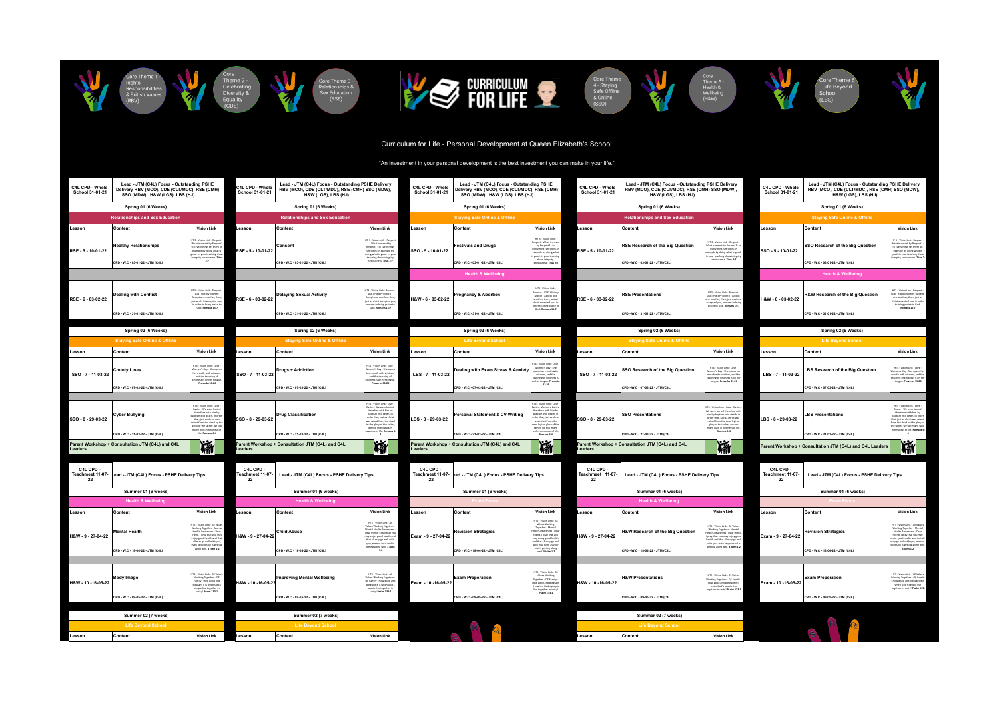

## Curriculum for Life - Personal Development at Queen Elizabeth's School

## "An investment in your personal development is the best investment you can make in your life."

| Lead - JTM (C4L) Focus - Outstanding PSHE<br>C4L CPD - Whole<br>Delivery RBV (MCO), CDE (CLT/MDC), RSE (CMH)<br>School 31-01-21<br>SSO (MDW), H&W (LGS), LBS (HJ) |                                                                  |                                                                                                                                                                                                                                                     | Lead - JTM (C4L) Focus - Outstanding PSHE Delivery<br>C4L CPD - Whole<br>RBV (MCO), CDE (CLT/MDC), RSE (CMH) SSO (MDW),<br>School 31-01-21<br>H&W (LGS), LBS (HJ) |                                                                     |                                                                                                                                                                                                                                                  | Lead - JTM (C4L) Focus - Outstanding PSHE<br>C4L CPD - Whole<br>Delivery RBV (MCO), CDE (CLT/MDC), RSE (CMH)<br>School 31-01-21<br>SSO (MDW), H&W (LGS), LBS (HJ) |                                                                                |                                                                                                                                                                                                                                                    | Lead - JTM (C4L) Focus - Outstanding PSHE Delivery<br>C4L CPD - Whole<br>RBV (MCO), CDE (CLT/MDC), RSE (CMH) SSO (MDW),<br>School 31-01-21<br>H&W (LGS), LBS (HJ) |                                                                      |                                                                                                                                                                                                                                                   | Lead - JTM (C4L) Focus - Outstanding PSHE Delivery<br>C4L CPD - Whole<br>RBV (MCO), CDE (CLT/MDC), RSE (CMH) SSO (MDW),<br>School 31-01-21<br>H&W (LGS), LBS (HJ) |                                                                                 |                                                                                                                                                                                                                                         |
|-------------------------------------------------------------------------------------------------------------------------------------------------------------------|------------------------------------------------------------------|-----------------------------------------------------------------------------------------------------------------------------------------------------------------------------------------------------------------------------------------------------|-------------------------------------------------------------------------------------------------------------------------------------------------------------------|---------------------------------------------------------------------|--------------------------------------------------------------------------------------------------------------------------------------------------------------------------------------------------------------------------------------------------|-------------------------------------------------------------------------------------------------------------------------------------------------------------------|--------------------------------------------------------------------------------|----------------------------------------------------------------------------------------------------------------------------------------------------------------------------------------------------------------------------------------------------|-------------------------------------------------------------------------------------------------------------------------------------------------------------------|----------------------------------------------------------------------|---------------------------------------------------------------------------------------------------------------------------------------------------------------------------------------------------------------------------------------------------|-------------------------------------------------------------------------------------------------------------------------------------------------------------------|---------------------------------------------------------------------------------|-----------------------------------------------------------------------------------------------------------------------------------------------------------------------------------------------------------------------------------------|
| Spring 01 (6 Weeks)                                                                                                                                               |                                                                  | Spring 01 (6 Weeks)                                                                                                                                                                                                                                 |                                                                                                                                                                   |                                                                     | Spring 01 (6 Weeks)                                                                                                                                                                                                                              |                                                                                                                                                                   |                                                                                | Spring 01 (6 Weeks)                                                                                                                                                                                                                                |                                                                                                                                                                   |                                                                      | Spring 01 (6 Weeks)                                                                                                                                                                                                                               |                                                                                                                                                                   |                                                                                 |                                                                                                                                                                                                                                         |
|                                                                                                                                                                   | <b>Relationships and Sex Education</b>                           |                                                                                                                                                                                                                                                     |                                                                                                                                                                   | <b>Relationships and Sex Education</b>                              |                                                                                                                                                                                                                                                  |                                                                                                                                                                   | <b>Staying Safe Online &amp; Offline</b>                                       |                                                                                                                                                                                                                                                    |                                                                                                                                                                   | <b>Relationships and Sex Education</b>                               |                                                                                                                                                                                                                                                   |                                                                                                                                                                   | <b>Staying Safe Online &amp; Offline</b>                                        |                                                                                                                                                                                                                                         |
| Lesson                                                                                                                                                            | Content                                                          | <b>Vision Link</b>                                                                                                                                                                                                                                  | Lesson                                                                                                                                                            | Content                                                             | <b>Vision Link</b>                                                                                                                                                                                                                               | esson.                                                                                                                                                            | Content                                                                        | <b>Vision Link</b>                                                                                                                                                                                                                                 | esson.                                                                                                                                                            | Content                                                              | <b>Vision Link</b>                                                                                                                                                                                                                                | esson.                                                                                                                                                            | Content                                                                         | <b>Vision Link</b>                                                                                                                                                                                                                      |
| RSE - 5 - 10-01-22                                                                                                                                                | Healthy Relationships<br>CPD - W.C - 03-01-22 - JTM (C4L)        | T 3 - Vision Link - Respect<br>What is meant by Respect<br>In Everything, set them ar<br>example by doing what is<br>good. In your teaching show<br>integrity, seriousness. Titus<br>2:7                                                            | RSE - 5 - 10-01-22                                                                                                                                                | Consent<br>CPD - W.C - 03-01-22 - JTM (C4L)                         | T 3 - Vision Link - Respec<br>- What is meant by<br>lespect? - In Everything<br>set them an example by<br>doing what is good. In you<br>teaching show integrity<br>seriousness. Titus 2:7                                                        | SSO - 5 - 10-01-22                                                                                                                                                | Festivals and Drugs<br>CPD - W.C - 03-01-22 - JTM (C4L)                        | HT 3 - Vision Link<br>espect - What is meant<br>by Respect? - In<br>Everything, set them an<br>example by doing what<br>is good. In your teaching<br>show integrity,<br>seriousness. Titus 2:7                                                     | RSE - 5 - 10-01-22                                                                                                                                                | RSE Research of the Big Question<br>CPD - W.C - 03-01-22 - JTM (C4L) | HT 3 - Vision Link - Respect<br>What is meant by Respect? - I<br>Everything, set them an<br>kample by doing what is good.<br>In your teaching show integrity<br>seriousness. Titus 2:7                                                            | SSO - 5 - 10-01-22                                                                                                                                                | SSO Research of the Big Question<br>CPD - W.C - 03-01-22 - JTM (C4L)            | IT 3 - Vision Link - Respi<br>What is meant by Respe<br>In Everything, set them<br>example by doing what<br>good. In your teaching sh<br>integrity, seriousness. Tit                                                                    |
|                                                                                                                                                                   |                                                                  |                                                                                                                                                                                                                                                     |                                                                                                                                                                   |                                                                     |                                                                                                                                                                                                                                                  |                                                                                                                                                                   |                                                                                |                                                                                                                                                                                                                                                    |                                                                                                                                                                   |                                                                      |                                                                                                                                                                                                                                                   |                                                                                                                                                                   | <b>Health &amp; Wellbeing</b>                                                   |                                                                                                                                                                                                                                         |
|                                                                                                                                                                   |                                                                  |                                                                                                                                                                                                                                                     |                                                                                                                                                                   |                                                                     |                                                                                                                                                                                                                                                  |                                                                                                                                                                   | <b>Health &amp; Wellbeing</b>                                                  |                                                                                                                                                                                                                                                    |                                                                                                                                                                   |                                                                      |                                                                                                                                                                                                                                                   |                                                                                                                                                                   |                                                                                 |                                                                                                                                                                                                                                         |
| RSE - 6 - 03-02-22                                                                                                                                                | <b>Dealing with Conflict</b><br>CPD - W.C - 31-01-22 - JTM (C4L) | HT3 - Vision Link - Respect<br>LGBT History Month -<br>Accept one another, then<br>just as christ accepted you,<br>in order to bring praise to<br>God. Romans 15:7                                                                                  | RSE - 6 - 03-02-22                                                                                                                                                | <b>Delaying Sexual Activity</b><br>CPD - W.C - 31-01-22 - JTM (C4L) | IT3 - Vision Link - Respec<br>LGBT History Month<br>Accept one another, the<br>ust as christ accepted you<br>in order to bring praise to<br>God. Romans 15:7                                                                                     | H&W - 6 - 03-02-22                                                                                                                                                | Pregnancy & Abortion<br>CPD - W.C - 31-01-22 - JTM (C4L)                       | HT3 - Vision Link<br>Respect - LGBT History<br>Month - Accept one<br>another, then, just as<br>christ accepted you, in<br>order to bring praise to<br>God. Romans 15:7                                                                             | RSE - 6 - 03-02-22                                                                                                                                                | <b>RSE Presentations</b><br>CPD - W.C - 31-01-22 - JTM (C4L)         | HT3 - Vision Link - Respect<br>LGBT History Month - Accept<br>one another, then, just as chris<br>accepted you, in order to bring<br>praise to God. Romans 15:7                                                                                   | 4&W - 6 - 03-02-22                                                                                                                                                | <b>H&amp;W Research of the Big Question</b><br>CPD - W.C - 31-01-22 - JTM (C4L) | HT3 - Vision Link - Respe<br>LGBT History Month - Ao<br>one another, then, just<br>thrist accepted you, in o<br>to bring praise to God<br>Romans 15:7                                                                                   |
|                                                                                                                                                                   |                                                                  |                                                                                                                                                                                                                                                     |                                                                                                                                                                   |                                                                     |                                                                                                                                                                                                                                                  |                                                                                                                                                                   |                                                                                |                                                                                                                                                                                                                                                    |                                                                                                                                                                   |                                                                      |                                                                                                                                                                                                                                                   |                                                                                                                                                                   |                                                                                 |                                                                                                                                                                                                                                         |
|                                                                                                                                                                   | Spring 02 (6 Weeks)                                              |                                                                                                                                                                                                                                                     | Spring 02 (6 Weeks)                                                                                                                                               |                                                                     |                                                                                                                                                                                                                                                  | Spring 02 (6 Weeks)                                                                                                                                               |                                                                                |                                                                                                                                                                                                                                                    | Spring 02 (6 Weeks)                                                                                                                                               |                                                                      |                                                                                                                                                                                                                                                   | Spring 02 (6 Weeks)                                                                                                                                               |                                                                                 |                                                                                                                                                                                                                                         |
|                                                                                                                                                                   | <b>Staying Safe Online &amp; Offline</b>                         |                                                                                                                                                                                                                                                     |                                                                                                                                                                   | <b>Staying Safe Online &amp; Offline</b>                            |                                                                                                                                                                                                                                                  |                                                                                                                                                                   | <b>Life Beyond School</b>                                                      |                                                                                                                                                                                                                                                    |                                                                                                                                                                   | <b>Staying Safe Online &amp; Offline</b>                             |                                                                                                                                                                                                                                                   |                                                                                                                                                                   | <b>Life Beyond School</b>                                                       |                                                                                                                                                                                                                                         |
| Lesson                                                                                                                                                            | Content                                                          | <b>Vision Link</b>                                                                                                                                                                                                                                  | Lesson                                                                                                                                                            | Content                                                             | <b>Vision Link</b>                                                                                                                                                                                                                               | esson.                                                                                                                                                            | Content                                                                        | <b>Vision Link</b>                                                                                                                                                                                                                                 | _esson                                                                                                                                                            | Content                                                              | <b>Vision Link</b>                                                                                                                                                                                                                                | Lesson                                                                                                                                                            | Content                                                                         | <b>Vision Link</b>                                                                                                                                                                                                                      |
| SSO - 7 - 11-03-22                                                                                                                                                | <b>County Lines</b>                                              | HT4 - Vision Link - Love<br>Women's Day - She opens<br>her mouth with wisdom,<br>and the teaching of<br>indness is on her tongue.<br>Proverbs 31:26                                                                                                 | SSO - 7 - 11-03-22                                                                                                                                                | <b>Drugs + Addiction</b>                                            | HT4 - Vision Link - Love<br>Women's Day - She opens<br>her mouth with wisdom<br>and the teaching of<br>dness is on her tongue<br>Proverbs 31:26                                                                                                  | LBS - 7 - 11-03-22                                                                                                                                                | Dealing with Exam Stress & Anxiety                                             | T4 - Vision Link - Love<br>Women's Day - She<br>opens her mouth with<br>wisdom, and the<br>teaching of kindness is<br>n her tongue. Proverb                                                                                                        | SSO - 7 - 11-03-22                                                                                                                                                | SSO Research of the Big Question                                     | HT4 - Vision Link - Love<br>fomen's Day - She opens her<br>touth with wisdom, and the<br>eaching of kindness is on her<br>tongue. Proverbs 31:26                                                                                                  | LBS - 7 - 11-03-22                                                                                                                                                | LBS Research of the Big Question                                                | HT4 - Vision Link - Love<br>omen's Day - She open:<br>outh with wisdom, and<br>eaching of kindness is or<br>tongue. Proverbs 31:2                                                                                                       |
|                                                                                                                                                                   | CPD - W.C - 07-03-22 - JTM (C4L)                                 |                                                                                                                                                                                                                                                     |                                                                                                                                                                   | CPD - W.C - 07-03-22 - JTM (C4L)                                    |                                                                                                                                                                                                                                                  |                                                                                                                                                                   | CPD - W.C - 07-03-22 - JTM (C4L)                                               | 31:26                                                                                                                                                                                                                                              |                                                                                                                                                                   | CPD - W.C - 07-03-22 - JTM (C4L)                                     |                                                                                                                                                                                                                                                   |                                                                                                                                                                   | CPD - W.C - 07-03-22 - JTM (C4L)                                                |                                                                                                                                                                                                                                         |
| SSO - 8 - 29-03-22                                                                                                                                                | Cyber Bullying<br>CPD - W.C - 21-03-22 - JTM (C4L)               | HT4 - Vision Link - Love<br>Easter - We were buried<br>therefore with him by<br>aptism into death, in order<br>that, just as christ was<br>aised from the dead by the<br>glory of the father, we too<br>night walk in newness o<br>life. Romans 6:4 | SSO - 8 - 29-03-22                                                                                                                                                | <b>Drug Classification</b><br>CPD - W.C - 21-03-22 - JTM (C4L)      | HT4 - Vision Link - Love<br>Easter - We were buried<br>therefore with him by<br>baptism into death, in<br>order that, just as christ<br>was raised from the dead<br>by the glory of the father<br>we too might walk in<br>ewness of life. Romans | LBS - 8 - 29-03-22                                                                                                                                                | <b>Personal Statement &amp; CV Writing</b><br>CPD - W.C - 21-03-22 - JTM (C4L) | HT4 - Vision Link - Love<br>Easter - We were buried<br>herefore with him by<br>aptism into death, i<br>rder that, just as christ<br>was raised from the<br>lead by the glory of th<br>father, we too might<br>walk in newness of lif<br>Romans 6:4 | SSO - 8 - 29-03-22                                                                                                                                                | SSO Presentations<br>CPD - W.C - 21-03-22 - JTM (C4L)                | IT4 - Vision Link - Love - Easte<br>We were buried therefore with<br>him by baptism into death, in<br>order that, just as christ was<br>raised from the dead by the<br>glory of the father, we too<br>night walk in newness of life<br>Romans 6:4 | LBS - 8 - 29-03-22                                                                                                                                                | LBS Presentations<br>CPD - W.C - 21-03-22 - JTM (C4L)                           | HT4 - Vision Link - Love<br>Easter - We were burie<br>therefore with him by<br>aptism into death, in or<br>that, just as christ was ra<br>rom the dead by the glo<br>he father, we too might<br>newness of life. Roma<br>$\overline{4}$ |
| Leaders                                                                                                                                                           | Parent Workshop + Consultation JTM (C4L) and C4L                 | 篇                                                                                                                                                                                                                                                   | Leaders                                                                                                                                                           | Parent Workshop + Consultation JTM (C4L) and C4L                    | 篇                                                                                                                                                                                                                                                | eaders                                                                                                                                                            | Parent Workshop + Consultation JTM (C4L) and C4L                               | 濑                                                                                                                                                                                                                                                  | eaders                                                                                                                                                            | Parent Workshop + Consultation JTM (C4L) and C4L                     | 瀚                                                                                                                                                                                                                                                 |                                                                                                                                                                   | Parent Workshop + Consultation JTM (C4L) and C4L Leaders                        | 说                                                                                                                                                                                                                                       |
| C4L CPD -<br>22                                                                                                                                                   | Teachmeet 11-07- Lead - JTM (C4L) Focus - PSHE Delivery Tips     |                                                                                                                                                                                                                                                     | C4L CPD -<br>Feachmeet 11-07-<br>22                                                                                                                               | Lead - JTM (C4L) Focus - PSHE Delivery Tips                         |                                                                                                                                                                                                                                                  | C4L CPD -<br>22                                                                                                                                                   | Teachmeet 11-07- ead - JTM (C4L) Focus - PSHE Delivery Tips                    |                                                                                                                                                                                                                                                    | C4L CPD -<br>Teachmeet 11-07-<br>22                                                                                                                               | Lead - JTM (C4L) Focus - PSHE Delivery Tips                          |                                                                                                                                                                                                                                                   | C4L CPD -<br>Teachmeet 11-07-<br>22                                                                                                                               | Lead - JTM (C4L) Focus - PSHE Delivery Tips                                     |                                                                                                                                                                                                                                         |
|                                                                                                                                                                   | Summer 01 (6 weeks)                                              |                                                                                                                                                                                                                                                     |                                                                                                                                                                   | Summer 01 (6 weeks)                                                 |                                                                                                                                                                                                                                                  |                                                                                                                                                                   | Summer 01 (6 weeks)                                                            |                                                                                                                                                                                                                                                    |                                                                                                                                                                   | Summer 01 (6 weeks)                                                  |                                                                                                                                                                                                                                                   |                                                                                                                                                                   | Summer 01 (6 weeks)                                                             |                                                                                                                                                                                                                                         |
|                                                                                                                                                                   | <b>Health &amp; Wellbeing</b>                                    |                                                                                                                                                                                                                                                     |                                                                                                                                                                   | <b>Health &amp; Wellbeing</b>                                       |                                                                                                                                                                                                                                                  |                                                                                                                                                                   | <b>Exam Focu</b>                                                               |                                                                                                                                                                                                                                                    |                                                                                                                                                                   | <b>Health &amp; Wellbeing</b>                                        |                                                                                                                                                                                                                                                   |                                                                                                                                                                   | <b>Exam Focu</b>                                                                |                                                                                                                                                                                                                                         |
| Lesson                                                                                                                                                            | Content                                                          | <b>Vision Link</b>                                                                                                                                                                                                                                  | Lesson                                                                                                                                                            | Content                                                             | <b>Vision Link</b>                                                                                                                                                                                                                               | esson.                                                                                                                                                            | Content                                                                        | <b>Vision Link</b>                                                                                                                                                                                                                                 | esson.                                                                                                                                                            | Content                                                              | <b>Vision Link</b>                                                                                                                                                                                                                                | esson                                                                                                                                                             | Content                                                                         | <b>Vision Link</b>                                                                                                                                                                                                                      |
| H&W - 9 - 27-04-22                                                                                                                                                | Mental Health<br>CPD - W.C - 18-04-22 - JTM (C4L)                | T5 - Vision Link - All Values<br>Working Together - Mental<br>Health Awareness - Dear<br>riend, I pray that you may<br>njoy good health and that<br>all may go well with you,<br>even as your soul is getting<br>along well. 3 John 1:2             | H&W - 9 - 27-04-22                                                                                                                                                | <b>Child Abuse</b><br>CPD - W.C - 18-04-22 - JTM (C4L)              | HTS - Vision Link - All<br>Values Working Together<br>Mental Health Awarene<br>Dear friend, I pray that yo<br>nay enjoy good health an<br>that all may go well with<br>you, even as your soul is<br>getting along well. 3 John<br>1:2            | Exam - 9 - 27-04-22                                                                                                                                               | <b>Revision Strategies</b><br>CPD - W.C - 18-04-22 - JTM (C4L)                 | HTS - Vision Link - A<br>Values Working<br>Together - Mental<br>alth Awareness - De<br>friend, I pray that you<br>may enjoy good health<br>and that all may go well<br>with you, even as your<br>soul is getting along                             | 1&W - 9 - 27-04-22                                                                                                                                                | H&W Research of the Big Question<br>CPD - W.C - 18-04-22 - JTM (C4L) | HTS - Vision Link - All Values<br>Working Together - Mental<br>ealth Awareness - Dear friend,<br>pray that you may enjoy good<br>ealth and that all may go well<br>with you, even as your soul is<br>getting along well. 3 John 1:2               | xam - 9 - 27-04-22:                                                                                                                                               | <b>Revision Strategies</b><br>CPD - W.C - 18-04-22 - JTM (C4L)                  | HTS - Vision Link - All Va<br>Working Together - Mer<br>Health Awareness - De<br>friend, I pray that you n<br>njoy good health and th<br>may go well with you, eve<br>your soul is getting along<br>3 John 1:2                          |
|                                                                                                                                                                   |                                                                  |                                                                                                                                                                                                                                                     |                                                                                                                                                                   |                                                                     |                                                                                                                                                                                                                                                  |                                                                                                                                                                   |                                                                                | well. 3 John 1:2                                                                                                                                                                                                                                   |                                                                                                                                                                   |                                                                      |                                                                                                                                                                                                                                                   |                                                                                                                                                                   |                                                                                 |                                                                                                                                                                                                                                         |
| H&W - 10 -16-05-22                                                                                                                                                | <b>Body Image</b><br>CPD - W.C - 09-05-22 - JTM (C4L)            | T5 - Vision Link - All Values<br>Working Together - QE<br>Family - How good and<br>pleasant it is when God's<br>people live together in<br>unity! Psalm 133:1                                                                                       | H&W - 10 -16-05-22                                                                                                                                                | Improving Mental Wellbeing<br>CPD - W.C - 09-05-22 - JTM (C4L)      | HTS - Vision Link - All<br>alues Working Together<br>QE Family - How good and<br>pleasant it is when God's<br>people live together in<br>unity! Psalm 133:1                                                                                      | Exam - 10 -16-05-22                                                                                                                                               | <b>Exam Preperation</b><br>CPD - W.C - 09-05-22 - JTM (C4L)                    | HTS - Vision Link - All<br>Values Working<br>Together - QE Family<br>How good and pleasant<br>it is when God's people<br>live together in unity<br>Psalm 133:1                                                                                     | 1&W - 10 -16-05-22                                                                                                                                                | <b>H&amp;W Presentations</b><br>CPD - W.C - 09-05-22 - JTM (C4L)     | HTS - Vision Link - All Values<br>Vorking Together - QE Family<br>How good and pleasant it is<br>when God's people live<br>ogether in unity! Psalm 133:1                                                                                          | Exam - 10 -16-05-22                                                                                                                                               | <b>Exam Preperation</b><br>CPD - W.C - 09-05-22 - JTM (C4L)                     | HTS - Vision Link - All Va<br>Working Together - QE Fa<br>How good and pleasant<br>when God's people liv<br>together in unity! Psalm                                                                                                    |
|                                                                                                                                                                   |                                                                  |                                                                                                                                                                                                                                                     |                                                                                                                                                                   |                                                                     |                                                                                                                                                                                                                                                  |                                                                                                                                                                   |                                                                                |                                                                                                                                                                                                                                                    |                                                                                                                                                                   |                                                                      |                                                                                                                                                                                                                                                   |                                                                                                                                                                   |                                                                                 |                                                                                                                                                                                                                                         |
|                                                                                                                                                                   | Summer 02 (7 weeks)                                              |                                                                                                                                                                                                                                                     |                                                                                                                                                                   | Summer 02 (7 weeks)                                                 |                                                                                                                                                                                                                                                  |                                                                                                                                                                   |                                                                                |                                                                                                                                                                                                                                                    |                                                                                                                                                                   | Summer 02 (7 weeks)                                                  |                                                                                                                                                                                                                                                   |                                                                                                                                                                   |                                                                                 |                                                                                                                                                                                                                                         |
|                                                                                                                                                                   | <b>Life Beyond School</b>                                        |                                                                                                                                                                                                                                                     | <b>Life Beyond School</b>                                                                                                                                         |                                                                     |                                                                                                                                                                                                                                                  |                                                                                                                                                                   |                                                                                |                                                                                                                                                                                                                                                    |                                                                                                                                                                   | <b>Life Beyond School</b>                                            |                                                                                                                                                                                                                                                   |                                                                                                                                                                   |                                                                                 |                                                                                                                                                                                                                                         |
| Lesson                                                                                                                                                            | Content                                                          | <b>Vision Link</b>                                                                                                                                                                                                                                  | Lesson                                                                                                                                                            | Content                                                             | <b>Vision Link</b>                                                                                                                                                                                                                               |                                                                                                                                                                   |                                                                                |                                                                                                                                                                                                                                                    | esson.                                                                                                                                                            | Content                                                              | <b>Vision Link</b>                                                                                                                                                                                                                                |                                                                                                                                                                   |                                                                                 |                                                                                                                                                                                                                                         |

|                                     | Core Theme 6<br>- Life Beyond<br>School<br>(LES)                                                                            |                                                                                                                                                                                                                                                         |
|-------------------------------------|-----------------------------------------------------------------------------------------------------------------------------|---------------------------------------------------------------------------------------------------------------------------------------------------------------------------------------------------------------------------------------------------------|
| C4L CPD - Whole<br>School 31-01-21  | Lead - JTM (C4L) Focus - Outstanding PSHE Delivery<br>RBV (MCO), CDE (CLT/MDC), RSE (CMH) SSO (MDW),<br>H&W (LGS), LBS (HJ) |                                                                                                                                                                                                                                                         |
|                                     | Spring 01 (6 Weeks)                                                                                                         |                                                                                                                                                                                                                                                         |
|                                     | <b>Staying Safe Online &amp; Offline</b>                                                                                    |                                                                                                                                                                                                                                                         |
| Lesson                              | Content                                                                                                                     | <b>Vision Link</b>                                                                                                                                                                                                                                      |
| SSO - 5 - 10-01-22                  | SSO Research of the Big Question                                                                                            | HT 3 - Vision Link - Respect -<br>What is meant by Respect? -<br>In Everything, set them an<br>example by doing what is<br>good. In your teaching show<br>integrity, seriousness. Titus 2:<br>7                                                         |
|                                     | CPD - W.C - 03-01-22 - JTM (C4L)                                                                                            |                                                                                                                                                                                                                                                         |
| H&W - 6 - 03-02-22                  | <b>Health &amp; Wellbeing</b><br>H&W Research of the Big Question<br>CPD - W.C - 31-01-22 - JTM (C4L)                       | HT3 - Vision Link - Respect -<br><b>LGBT History Month - Accept</b><br>one another, then, just as<br>christ accepted you, in order<br>to bring praise to God.<br>Romans 15:7                                                                            |
|                                     |                                                                                                                             |                                                                                                                                                                                                                                                         |
|                                     | Spring 02 (6 Weeks)                                                                                                         |                                                                                                                                                                                                                                                         |
|                                     | <b>Life Beyond School</b>                                                                                                   |                                                                                                                                                                                                                                                         |
| Lesson                              | Content                                                                                                                     | <b>Vision Link</b>                                                                                                                                                                                                                                      |
| LBS - 7 - 11-03-22                  | LBS Research of the Big Question<br>CPD - W.C - 07-03-22 - JTM (C4L)                                                        | HT4 - Vision Link - Love<br>Women's Day - She opens her<br>mouth with wisdom, and the<br>teaching of kindness is on her<br>tongue. Proverbs 31:26                                                                                                       |
|                                     |                                                                                                                             |                                                                                                                                                                                                                                                         |
| LBS-8-29-03-22                      | <b>LBS Presentations</b><br>CPD - W.C - 21-03-22 - JTM (C4L)                                                                | HT4 - Vision Link - Love<br>Easter - We were buried<br>therefore with him by<br>baptism into death, in order<br>that, just as christ was raised<br>from the dead by the glory of<br>the father, we too might walk<br>in newness of life. Romans 6:<br>4 |
|                                     | Parent Workshop + Consultation JTM (C4L) and C4L Leaders                                                                    |                                                                                                                                                                                                                                                         |
| C4L CPD -<br>Teachmeet 11-07-<br>22 | Lead - JTM (C4L) Focus - PSHE Delivery Tips                                                                                 |                                                                                                                                                                                                                                                         |
|                                     | Summer 01 (6 weeks)                                                                                                         |                                                                                                                                                                                                                                                         |
|                                     | <b>Exam Focus</b>                                                                                                           |                                                                                                                                                                                                                                                         |
| Lesson                              | Content                                                                                                                     | <b>Vision Link</b>                                                                                                                                                                                                                                      |
| Exam - 9 - 27-04-22                 | <b>Revision Strategies</b>                                                                                                  | HTS - Vision Link - All Values<br>Working Together - Mental<br>Health Awareness - Dear<br>friend, I pray that you may<br>enjoy good health and that all<br>may go well with you, even as<br>your soul is getting along well.<br>3 John 1:2              |
|                                     | CPD - W.C - 18-04-22 - JTM (C4L)                                                                                            |                                                                                                                                                                                                                                                         |
|                                     |                                                                                                                             |                                                                                                                                                                                                                                                         |
| Exam - 10 -16-05-22                 | <b>Exam Preperation</b><br>CPD - W.C - 09-05-22 - JTM (C4L)                                                                 | HTS - Vision Link - All Values<br>Working Together - QE Family<br>- How good and pleasant it is<br>when God's people live<br>together in unity! Psalm 133:<br>$\mathbf{1}$                                                                              |
|                                     |                                                                                                                             |                                                                                                                                                                                                                                                         |